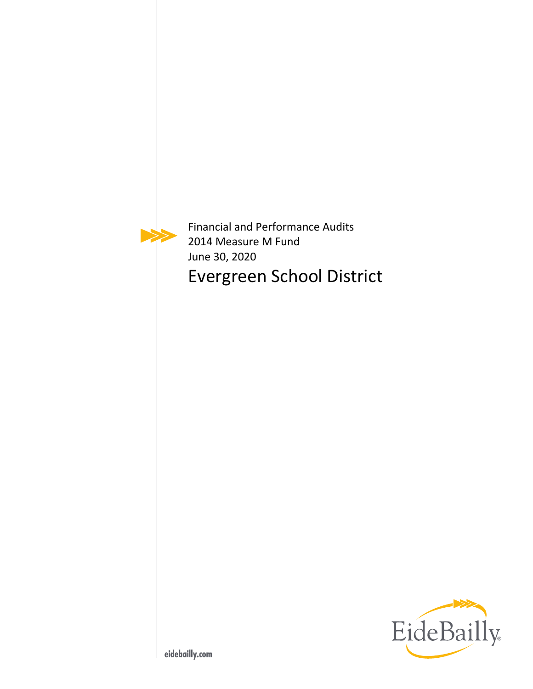

Financial and Performance Audits 2014 Measure M Fund June 30, 2020

# Evergreen School District

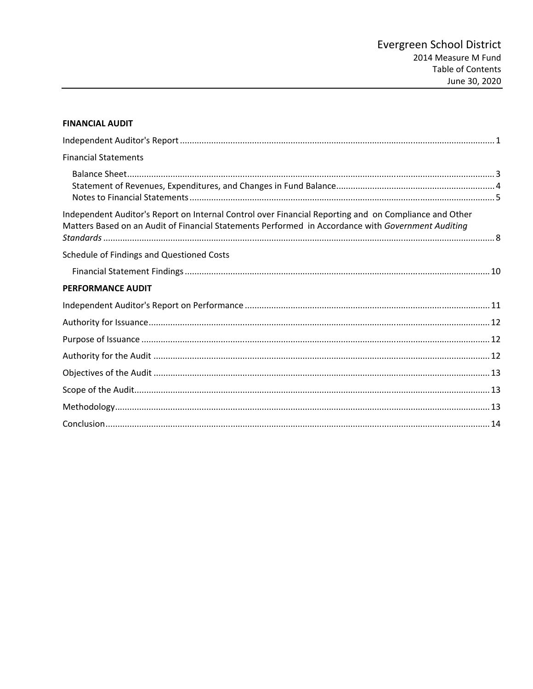#### **FINANCIAL AUDIT**

| <b>Financial Statements</b>                                                                                                                                                                                 |  |
|-------------------------------------------------------------------------------------------------------------------------------------------------------------------------------------------------------------|--|
|                                                                                                                                                                                                             |  |
| Independent Auditor's Report on Internal Control over Financial Reporting and on Compliance and Other<br>Matters Based on an Audit of Financial Statements Performed in Accordance with Government Auditing |  |
| Schedule of Findings and Questioned Costs                                                                                                                                                                   |  |
|                                                                                                                                                                                                             |  |
| <b>PERFORMANCE AUDIT</b>                                                                                                                                                                                    |  |
|                                                                                                                                                                                                             |  |
|                                                                                                                                                                                                             |  |
|                                                                                                                                                                                                             |  |
|                                                                                                                                                                                                             |  |
|                                                                                                                                                                                                             |  |
|                                                                                                                                                                                                             |  |
|                                                                                                                                                                                                             |  |
|                                                                                                                                                                                                             |  |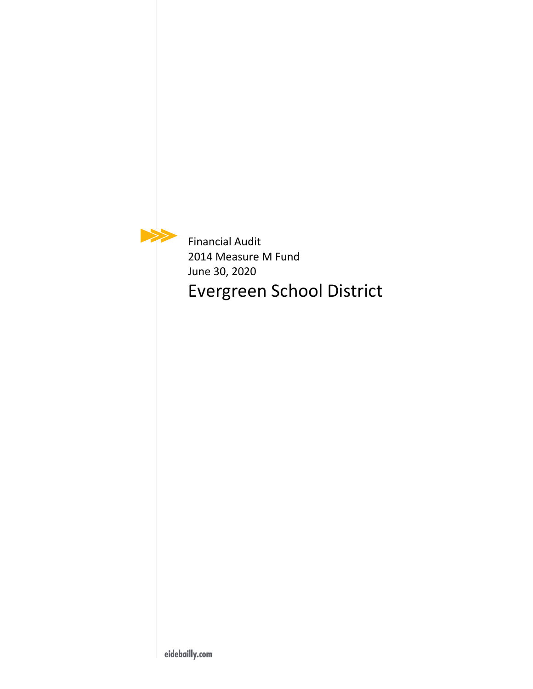Financial Audit 2014 Measure M Fund June 30, 2020

 $\blacktriangleright$ 

Evergreen School District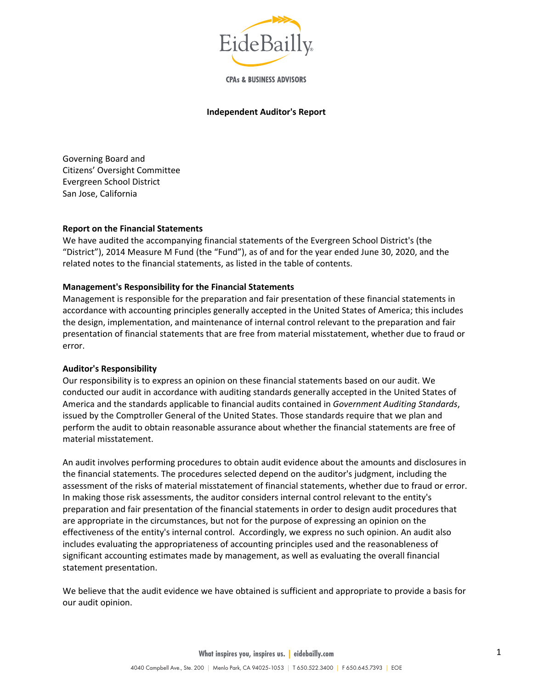

**CPAs & BUSINESS ADVISORS** 

#### **Independent Auditor's Report**

Governing Board and Citizens' Oversight Committee Evergreen School District San Jose, California

#### **Report on the Financial Statements**

We have audited the accompanying financial statements of the Evergreen School District's (the "District"), 2014 Measure M Fund (the "Fund"), as of and for the year ended June 30, 2020, and the related notes to the financial statements, as listed in the table of contents.

#### **Management's Responsibility for the Financial Statements**

Management is responsible for the preparation and fair presentation of these financial statements in accordance with accounting principles generally accepted in the United States of America; this includes the design, implementation, and maintenance of internal control relevant to the preparation and fair presentation of financial statements that are free from material misstatement, whether due to fraud or error.

#### **Auditor's Responsibility**

Our responsibility is to express an opinion on these financial statements based on our audit. We conducted our audit in accordance with auditing standards generally accepted in the United States of America and the standards applicable to financial audits contained in *Government Auditing Standards*, issued by the Comptroller General of the United States. Those standards require that we plan and perform the audit to obtain reasonable assurance about whether the financial statements are free of material misstatement.

An audit involves performing procedures to obtain audit evidence about the amounts and disclosures in the financial statements. The procedures selected depend on the auditor's judgment, including the assessment of the risks of material misstatement of financial statements, whether due to fraud or error. In making those risk assessments, the auditor considers internal control relevant to the entity's preparation and fair presentation of the financial statements in order to design audit procedures that are appropriate in the circumstances, but not for the purpose of expressing an opinion on the effectiveness of the entity's internal control. Accordingly, we express no such opinion. An audit also includes evaluating the appropriateness of accounting principles used and the reasonableness of significant accounting estimates made by management, as well as evaluating the overall financial statement presentation.

We believe that the audit evidence we have obtained is sufficient and appropriate to provide a basis for our audit opinion.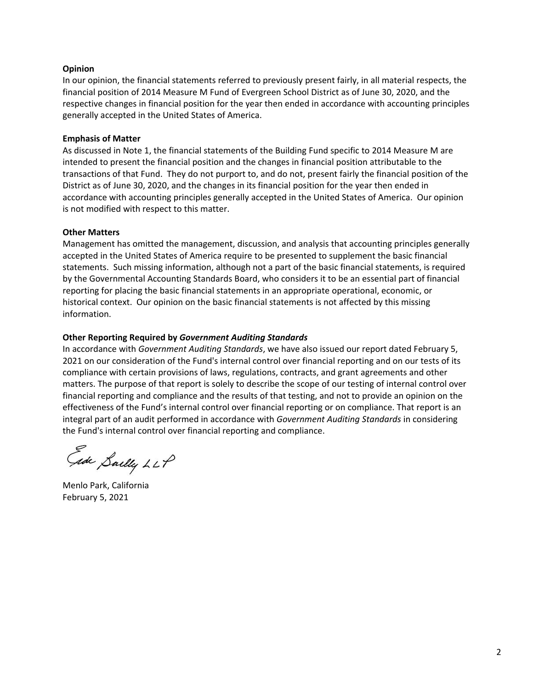#### **Opinion**

In our opinion, the financial statements referred to previously present fairly, in all material respects, the financial position of 2014 Measure M Fund of Evergreen School District as of June 30, 2020, and the respective changes in financial position for the year then ended in accordance with accounting principles generally accepted in the United States of America.

#### **Emphasis of Matter**

As discussed in Note 1, the financial statements of the Building Fund specific to 2014 Measure M are intended to present the financial position and the changes in financial position attributable to the transactions of that Fund. They do not purport to, and do not, present fairly the financial position of the District as of June 30, 2020, and the changes in its financial position for the year then ended in accordance with accounting principles generally accepted in the United States of America. Our opinion is not modified with respect to this matter.

#### **Other Matters**

Management has omitted the management, discussion, and analysis that accounting principles generally accepted in the United States of America require to be presented to supplement the basic financial statements. Such missing information, although not a part of the basic financial statements, is required by the Governmental Accounting Standards Board, who considers it to be an essential part of financial reporting for placing the basic financial statements in an appropriate operational, economic, or historical context. Our opinion on the basic financial statements is not affected by this missing information.

#### **Other Reporting Required by** *Government Auditing Standards*

In accordance with *Government Auditing Standards*, we have also issued our report dated February 5, 2021 on our consideration of the Fund's internal control over financial reporting and on our tests of its compliance with certain provisions of laws, regulations, contracts, and grant agreements and other matters. The purpose of that report is solely to describe the scope of our testing of internal control over financial reporting and compliance and the results of that testing, and not to provide an opinion on the effectiveness of the Fund's internal control over financial reporting or on compliance. That report is an integral part of an audit performed in accordance with *Government Auditing Standards* in considering the Fund's internal control over financial reporting and compliance.

Each Sailly LLP

Menlo Park, California February 5, 2021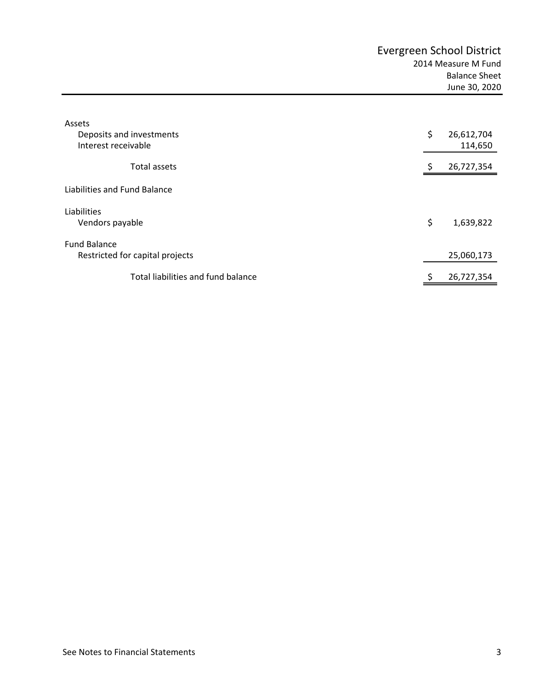| Evergreen School District |
|---------------------------|
| 2014 Measure M Fund       |
| <b>Balance Sheet</b>      |
| June 30, 2020             |

| Assets<br>Deposits and investments<br>Interest receivable | \$<br>26,612,704<br>114,650 |
|-----------------------------------------------------------|-----------------------------|
| Total assets                                              | 26,727,354                  |
| Liabilities and Fund Balance                              |                             |
| Liabilities<br>Vendors payable                            | \$<br>1,639,822             |
| <b>Fund Balance</b><br>Restricted for capital projects    | 25,060,173                  |
| Total liabilities and fund balance                        | \$<br>26,727,354            |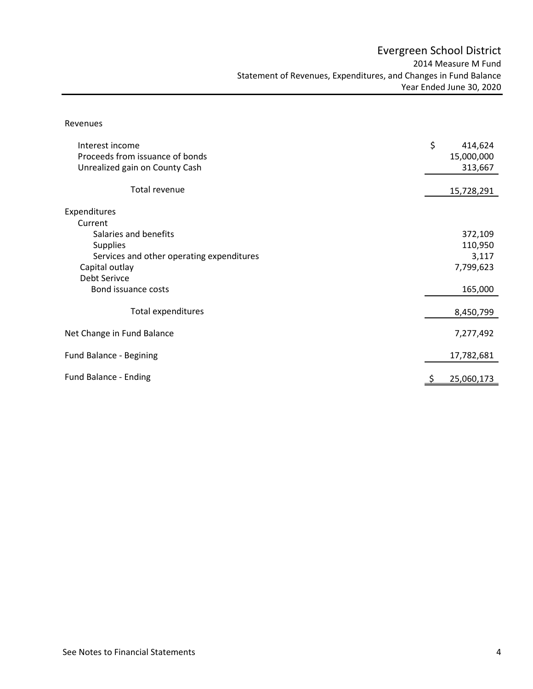| Interest income<br>Proceeds from issuance of bonds<br>Unrealized gain on County Cash                                    | \$ | 414,624<br>15,000,000<br>313,667         |
|-------------------------------------------------------------------------------------------------------------------------|----|------------------------------------------|
| Total revenue                                                                                                           |    | 15,728,291                               |
| Expenditures<br>Current                                                                                                 |    |                                          |
| Salaries and benefits<br><b>Supplies</b><br>Services and other operating expenditures<br>Capital outlay<br>Debt Serivce |    | 372,109<br>110,950<br>3,117<br>7,799,623 |
| Bond issuance costs                                                                                                     |    | 165,000                                  |
| Total expenditures                                                                                                      |    | 8,450,799                                |
| Net Change in Fund Balance                                                                                              |    | 7,277,492                                |
| Fund Balance - Begining                                                                                                 |    | 17,782,681                               |
| Fund Balance - Ending                                                                                                   | -S | 25,060,173                               |

Revenues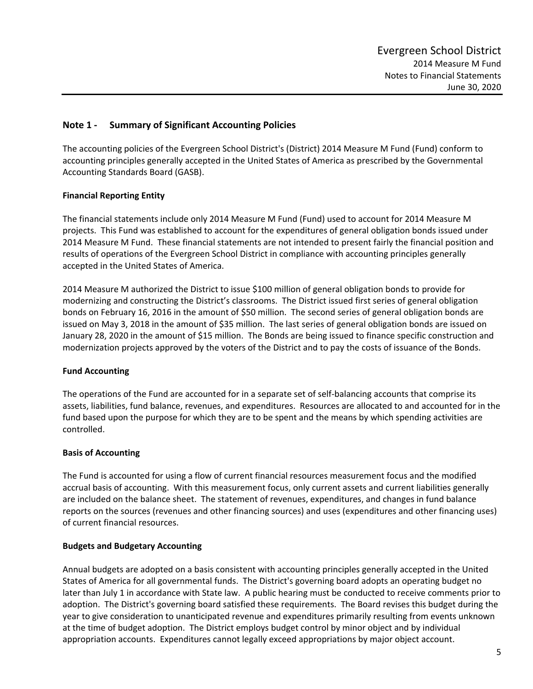# **Note 1 ‐ Summary of Significant Accounting Policies**

The accounting policies of the Evergreen School District's (District) 2014 Measure M Fund (Fund) conform to accounting principles generally accepted in the United States of America as prescribed by the Governmental Accounting Standards Board (GASB).

## **Financial Reporting Entity**

The financial statements include only 2014 Measure M Fund (Fund) used to account for 2014 Measure M projects. This Fund was established to account for the expenditures of general obligation bonds issued under 2014 Measure M Fund. These financial statements are not intended to present fairly the financial position and results of operations of the Evergreen School District in compliance with accounting principles generally accepted in the United States of America.

2014 Measure M authorized the District to issue \$100 million of general obligation bonds to provide for modernizing and constructing the District's classrooms. The District issued first series of general obligation bonds on February 16, 2016 in the amount of \$50 million. The second series of general obligation bonds are issued on May 3, 2018 in the amount of \$35 million. The last series of general obligation bonds are issued on January 28, 2020 in the amount of \$15 million. The Bonds are being issued to finance specific construction and modernization projects approved by the voters of the District and to pay the costs of issuance of the Bonds.

## **Fund Accounting**

The operations of the Fund are accounted for in a separate set of self‐balancing accounts that comprise its assets, liabilities, fund balance, revenues, and expenditures. Resources are allocated to and accounted for in the fund based upon the purpose for which they are to be spent and the means by which spending activities are controlled.

## **Basis of Accounting**

The Fund is accounted for using a flow of current financial resources measurement focus and the modified accrual basis of accounting. With this measurement focus, only current assets and current liabilities generally are included on the balance sheet. The statement of revenues, expenditures, and changes in fund balance reports on the sources (revenues and other financing sources) and uses (expenditures and other financing uses) of current financial resources.

## **Budgets and Budgetary Accounting**

Annual budgets are adopted on a basis consistent with accounting principles generally accepted in the United States of America for all governmental funds. The District's governing board adopts an operating budget no later than July 1 in accordance with State law. A public hearing must be conducted to receive comments prior to adoption. The District's governing board satisfied these requirements. The Board revises this budget during the year to give consideration to unanticipated revenue and expenditures primarily resulting from events unknown at the time of budget adoption. The District employs budget control by minor object and by individual appropriation accounts. Expenditures cannot legally exceed appropriations by major object account.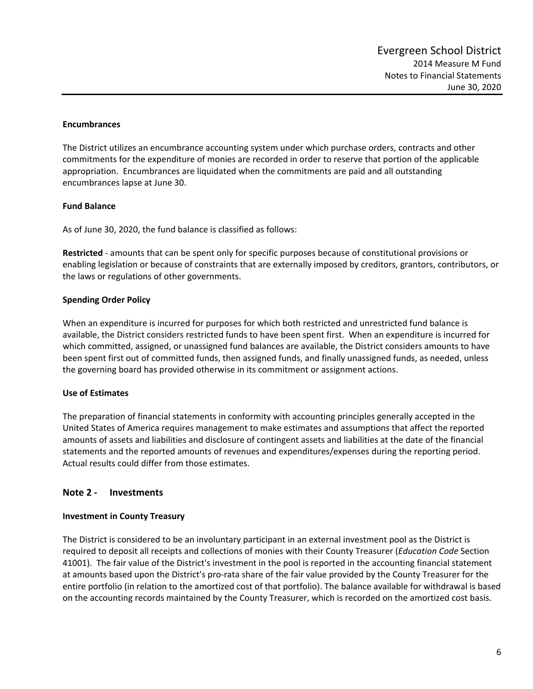#### **Encumbrances**

The District utilizes an encumbrance accounting system under which purchase orders, contracts and other commitments for the expenditure of monies are recorded in order to reserve that portion of the applicable appropriation. Encumbrances are liquidated when the commitments are paid and all outstanding encumbrances lapse at June 30.

## **Fund Balance**

As of June 30, 2020, the fund balance is classified as follows:

**Restricted** ‐ amounts that can be spent only for specific purposes because of constitutional provisions or enabling legislation or because of constraints that are externally imposed by creditors, grantors, contributors, or the laws or regulations of other governments.

## **Spending Order Policy**

When an expenditure is incurred for purposes for which both restricted and unrestricted fund balance is available, the District considers restricted funds to have been spent first. When an expenditure is incurred for which committed, assigned, or unassigned fund balances are available, the District considers amounts to have been spent first out of committed funds, then assigned funds, and finally unassigned funds, as needed, unless the governing board has provided otherwise in its commitment or assignment actions.

## **Use of Estimates**

The preparation of financial statements in conformity with accounting principles generally accepted in the United States of America requires management to make estimates and assumptions that affect the reported amounts of assets and liabilities and disclosure of contingent assets and liabilities at the date of the financial statements and the reported amounts of revenues and expenditures/expenses during the reporting period. Actual results could differ from those estimates.

## **Note 2 ‐ Investments**

## **Investment in County Treasury**

The District is considered to be an involuntary participant in an external investment pool as the District is required to deposit all receipts and collections of monies with their County Treasurer (*Education Code* Section 41001). The fair value of the District's investment in the pool is reported in the accounting financial statement at amounts based upon the District's pro‐rata share of the fair value provided by the County Treasurer for the entire portfolio (in relation to the amortized cost of that portfolio). The balance available for withdrawal is based on the accounting records maintained by the County Treasurer, which is recorded on the amortized cost basis.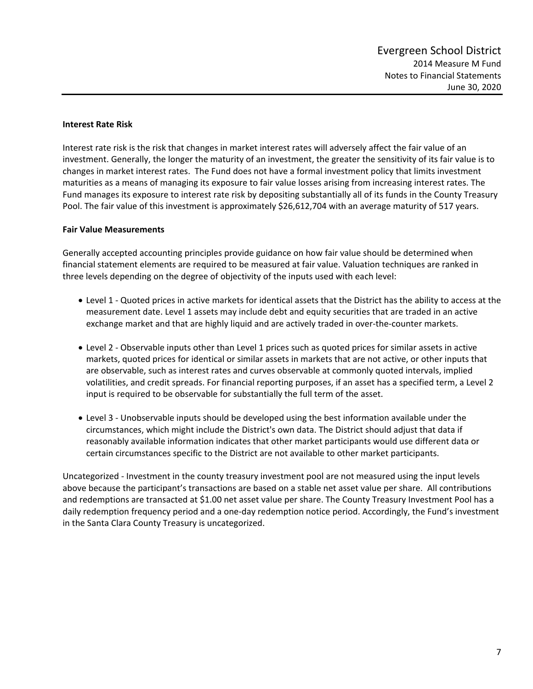## **Interest Rate Risk**

Interest rate risk is the risk that changes in market interest rates will adversely affect the fair value of an investment. Generally, the longer the maturity of an investment, the greater the sensitivity of its fair value is to changes in market interest rates. The Fund does not have a formal investment policy that limits investment maturities as a means of managing its exposure to fair value losses arising from increasing interest rates. The Fund manages its exposure to interest rate risk by depositing substantially all of its funds in the County Treasury Pool. The fair value of this investment is approximately \$26,612,704 with an average maturity of 517 years.

## **Fair Value Measurements**

Generally accepted accounting principles provide guidance on how fair value should be determined when financial statement elements are required to be measured at fair value. Valuation techniques are ranked in three levels depending on the degree of objectivity of the inputs used with each level:

- Level 1 ‐ Quoted prices in active markets for identical assets that the District has the ability to access at the measurement date. Level 1 assets may include debt and equity securities that are traded in an active exchange market and that are highly liquid and are actively traded in over‐the‐counter markets.
- Level 2 ‐ Observable inputs other than Level 1 prices such as quoted prices for similar assets in active markets, quoted prices for identical or similar assets in markets that are not active, or other inputs that are observable, such as interest rates and curves observable at commonly quoted intervals, implied volatilities, and credit spreads. For financial reporting purposes, if an asset has a specified term, a Level 2 input is required to be observable for substantially the full term of the asset.
- Level 3 Unobservable inputs should be developed using the best information available under the circumstances, which might include the District's own data. The District should adjust that data if reasonably available information indicates that other market participants would use different data or certain circumstances specific to the District are not available to other market participants.

Uncategorized ‐ Investment in the county treasury investment pool are not measured using the input levels above because the participant's transactions are based on a stable net asset value per share. All contributions and redemptions are transacted at \$1.00 net asset value per share. The County Treasury Investment Pool has a daily redemption frequency period and a one‐day redemption notice period. Accordingly, the Fund's investment in the Santa Clara County Treasury is uncategorized.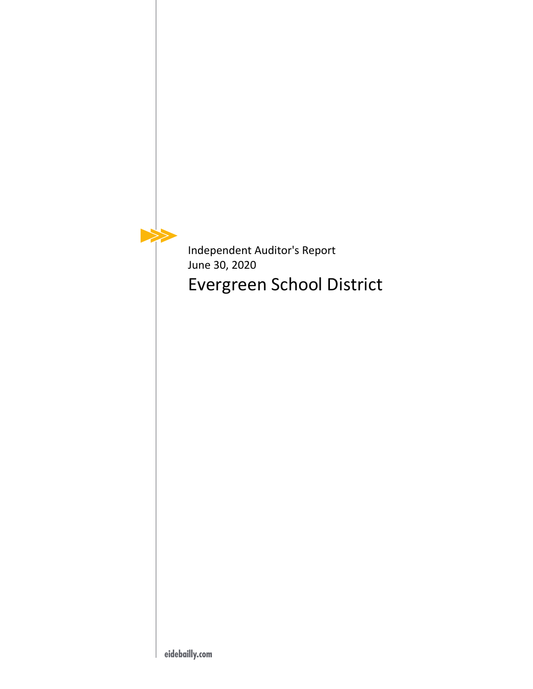$\blacktriangleright$ Independent Auditor's Report June 30, 2020 Evergreen School District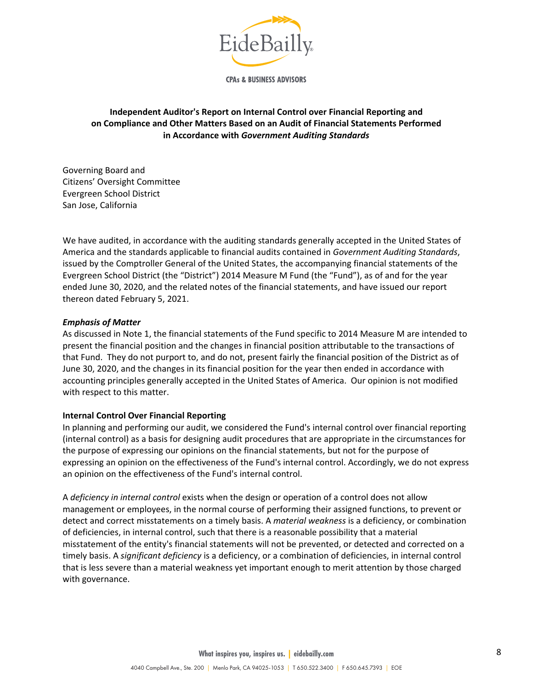

**CPAs & BUSINESS ADVISORS** 

# **Independent Auditor's Report on Internal Control over Financial Reporting and on Compliance and Other Matters Based on an Audit of Financial Statements Performed in Accordance with** *Government Auditing Standards*

Governing Board and Citizens' Oversight Committee Evergreen School District San Jose, California

We have audited, in accordance with the auditing standards generally accepted in the United States of America and the standards applicable to financial audits contained in *Government Auditing Standards*, issued by the Comptroller General of the United States, the accompanying financial statements of the Evergreen School District (the "District") 2014 Measure M Fund (the "Fund"), as of and for the year ended June 30, 2020, and the related notes of the financial statements, and have issued our report thereon dated February 5, 2021.

## *Emphasis of Matter*

As discussed in Note 1, the financial statements of the Fund specific to 2014 Measure M are intended to present the financial position and the changes in financial position attributable to the transactions of that Fund. They do not purport to, and do not, present fairly the financial position of the District as of June 30, 2020, and the changes in its financial position for the year then ended in accordance with accounting principles generally accepted in the United States of America. Our opinion is not modified with respect to this matter.

#### **Internal Control Over Financial Reporting**

In planning and performing our audit, we considered the Fund's internal control over financial reporting (internal control) as a basis for designing audit procedures that are appropriate in the circumstances for the purpose of expressing our opinions on the financial statements, but not for the purpose of expressing an opinion on the effectiveness of the Fund's internal control. Accordingly, we do not express an opinion on the effectiveness of the Fund's internal control.

A *deficiency in internal control* exists when the design or operation of a control does not allow management or employees, in the normal course of performing their assigned functions, to prevent or detect and correct misstatements on a timely basis. A *material weakness* is a deficiency, or combination of deficiencies, in internal control, such that there is a reasonable possibility that a material misstatement of the entity's financial statements will not be prevented, or detected and corrected on a timely basis. A *significant deficiency* is a deficiency, or a combination of deficiencies, in internal control that is less severe than a material weakness yet important enough to merit attention by those charged with governance.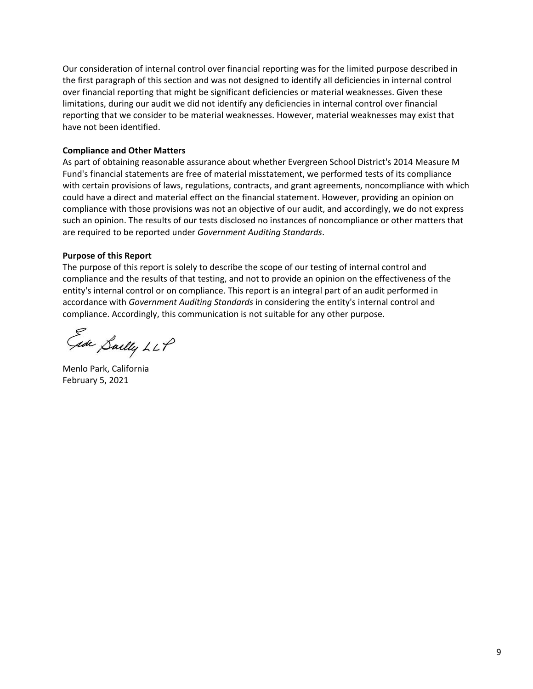Our consideration of internal control over financial reporting was for the limited purpose described in the first paragraph of this section and was not designed to identify all deficiencies in internal control over financial reporting that might be significant deficiencies or material weaknesses. Given these limitations, during our audit we did not identify any deficiencies in internal control over financial reporting that we consider to be material weaknesses. However, material weaknesses may exist that have not been identified.

# **Compliance and Other Matters**

As part of obtaining reasonable assurance about whether Evergreen School District's 2014 Measure M Fund's financial statements are free of material misstatement, we performed tests of its compliance with certain provisions of laws, regulations, contracts, and grant agreements, noncompliance with which could have a direct and material effect on the financial statement. However, providing an opinion on compliance with those provisions was not an objective of our audit, and accordingly, we do not express such an opinion. The results of our tests disclosed no instances of noncompliance or other matters that are required to be reported under *Government Auditing Standards*.

## **Purpose of this Report**

The purpose of this report is solely to describe the scope of our testing of internal control and compliance and the results of that testing, and not to provide an opinion on the effectiveness of the entity's internal control or on compliance. This report is an integral part of an audit performed in accordance with *Government Auditing Standards* in considering the entity's internal control and compliance. Accordingly, this communication is not suitable for any other purpose.

Gide Sailly LLP

Menlo Park, California February 5, 2021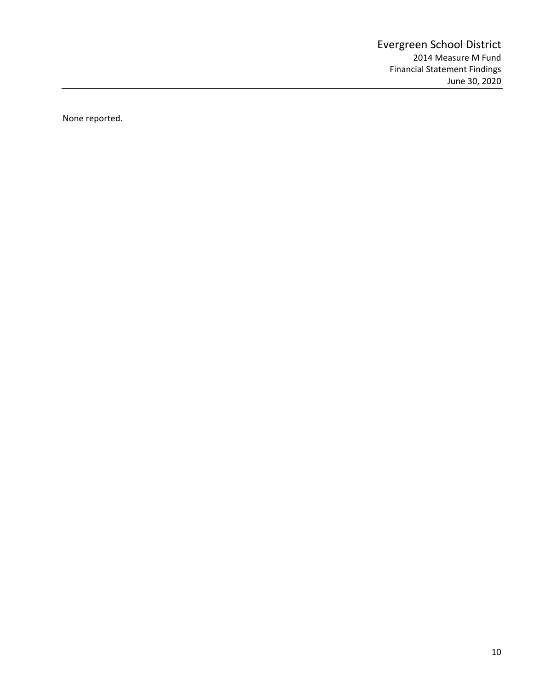None reported.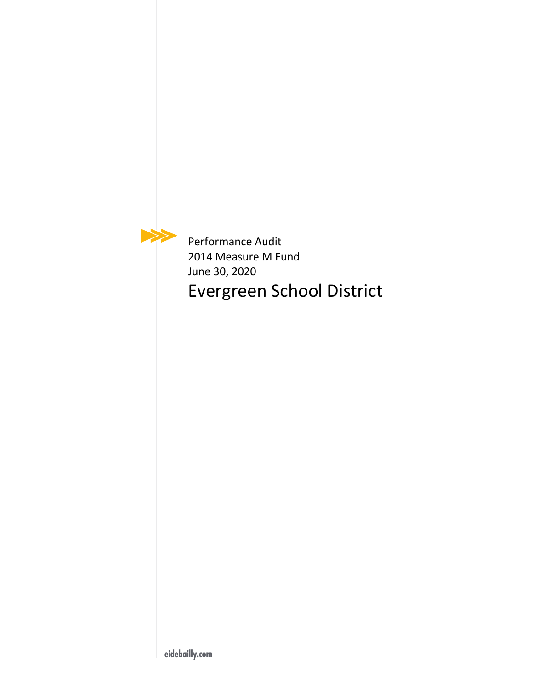Performance Audit 2014 Measure M Fund June 30, 2020

 $\blacktriangleright$ 

Evergreen School District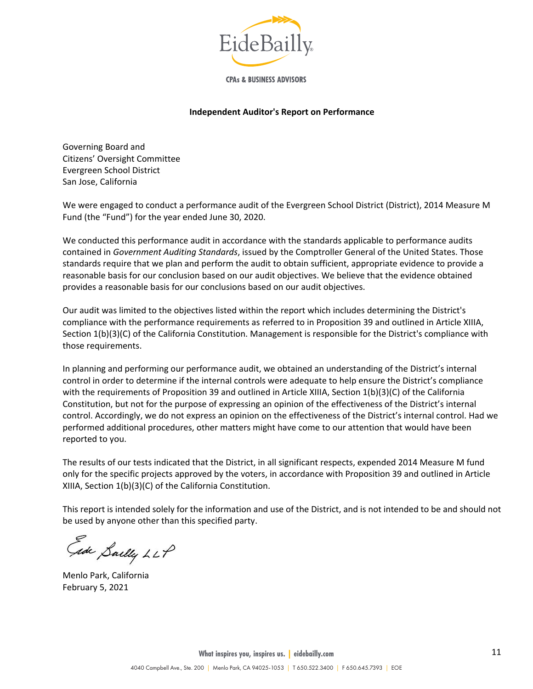

**CPAs & BUSINESS ADVISORS** 

#### **Independent Auditor's Report on Performance**

Governing Board and Citizens' Oversight Committee Evergreen School District San Jose, California

We were engaged to conduct a performance audit of the Evergreen School District (District), 2014 Measure M Fund (the "Fund") for the year ended June 30, 2020.

We conducted this performance audit in accordance with the standards applicable to performance audits contained in *Government Auditing Standards*, issued by the Comptroller General of the United States. Those standards require that we plan and perform the audit to obtain sufficient, appropriate evidence to provide a reasonable basis for our conclusion based on our audit objectives. We believe that the evidence obtained provides a reasonable basis for our conclusions based on our audit objectives.

Our audit was limited to the objectives listed within the report which includes determining the District's compliance with the performance requirements as referred to in Proposition 39 and outlined in Article XIIIA, Section 1(b)(3)(C) of the California Constitution. Management is responsible for the District's compliance with those requirements.

In planning and performing our performance audit, we obtained an understanding of the District's internal control in order to determine if the internal controls were adequate to help ensure the District's compliance with the requirements of Proposition 39 and outlined in Article XIIIA, Section 1(b)(3)(C) of the California Constitution, but not for the purpose of expressing an opinion of the effectiveness of the District's internal control. Accordingly, we do not express an opinion on the effectiveness of the District's internal control. Had we performed additional procedures, other matters might have come to our attention that would have been reported to you.

The results of our tests indicated that the District, in all significant respects, expended 2014 Measure M fund only for the specific projects approved by the voters, in accordance with Proposition 39 and outlined in Article XIIIA, Section 1(b)(3)(C) of the California Constitution.

This report is intended solely for the information and use of the District, and is not intended to be and should not be used by anyone other than this specified party.

Each Sailly LLP

Menlo Park, California February 5, 2021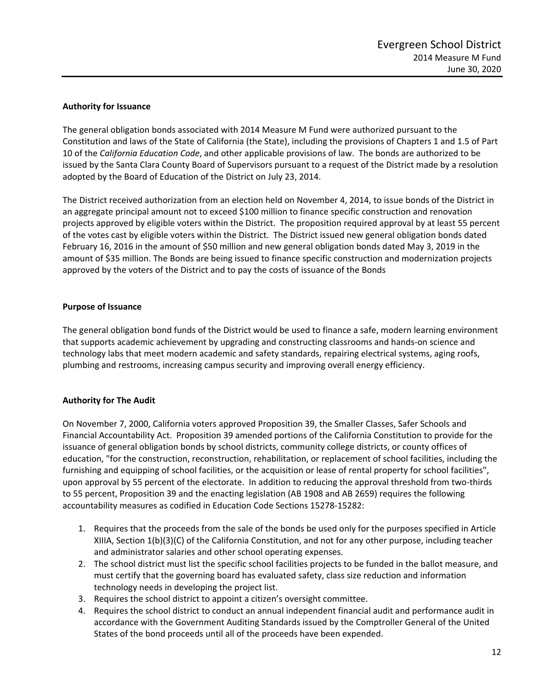## **Authority for Issuance**

The general obligation bonds associated with 2014 Measure M Fund were authorized pursuant to the Constitution and laws of the State of California (the State), including the provisions of Chapters 1 and 1.5 of Part 10 of the *California Education Code*, and other applicable provisions of law. The bonds are authorized to be issued by the Santa Clara County Board of Supervisors pursuant to a request of the District made by a resolution adopted by the Board of Education of the District on July 23, 2014.

The District received authorization from an election held on November 4, 2014, to issue bonds of the District in an aggregate principal amount not to exceed \$100 million to finance specific construction and renovation projects approved by eligible voters within the District. The proposition required approval by at least 55 percent of the votes cast by eligible voters within the District. The District issued new general obligation bonds dated February 16, 2016 in the amount of \$50 million and new general obligation bonds dated May 3, 2019 in the amount of \$35 million. The Bonds are being issued to finance specific construction and modernization projects approved by the voters of the District and to pay the costs of issuance of the Bonds

# **Purpose of Issuance**

The general obligation bond funds of the District would be used to finance a safe, modern learning environment that supports academic achievement by upgrading and constructing classrooms and hands‐on science and technology labs that meet modern academic and safety standards, repairing electrical systems, aging roofs, plumbing and restrooms, increasing campus security and improving overall energy efficiency.

# **Authority for The Audit**

On November 7, 2000, California voters approved Proposition 39, the Smaller Classes, Safer Schools and Financial Accountability Act. Proposition 39 amended portions of the California Constitution to provide for the issuance of general obligation bonds by school districts, community college districts, or county offices of education, "for the construction, reconstruction, rehabilitation, or replacement of school facilities, including the furnishing and equipping of school facilities, or the acquisition or lease of rental property for school facilities", upon approval by 55 percent of the electorate. In addition to reducing the approval threshold from two‐thirds to 55 percent, Proposition 39 and the enacting legislation (AB 1908 and AB 2659) requires the following accountability measures as codified in Education Code Sections 15278‐15282:

- 1. Requires that the proceeds from the sale of the bonds be used only for the purposes specified in Article XIIIA, Section 1(b)(3)(C) of the California Constitution, and not for any other purpose, including teacher and administrator salaries and other school operating expenses.
- 2. The school district must list the specific school facilities projects to be funded in the ballot measure, and must certify that the governing board has evaluated safety, class size reduction and information technology needs in developing the project list.
- 3. Requires the school district to appoint a citizen's oversight committee.
- 4. Requires the school district to conduct an annual independent financial audit and performance audit in accordance with the Government Auditing Standards issued by the Comptroller General of the United States of the bond proceeds until all of the proceeds have been expended.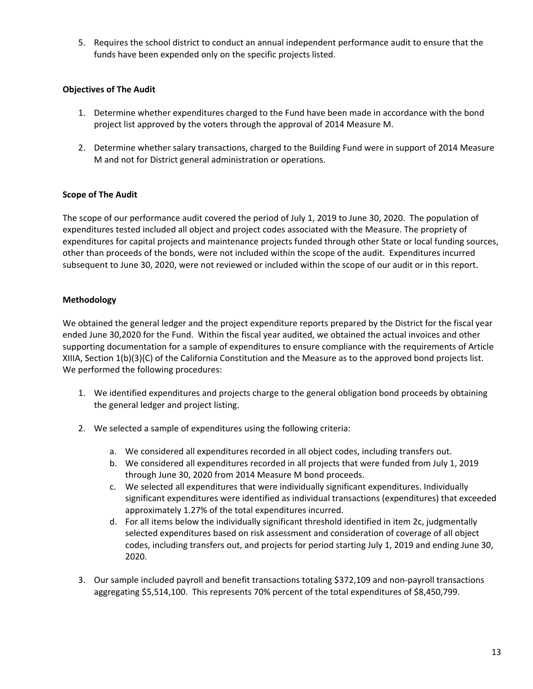5. Requires the school district to conduct an annual independent performance audit to ensure that the funds have been expended only on the specific projects listed.

# **Objectives of The Audit**

- 1. Determine whether expenditures charged to the Fund have been made in accordance with the bond project list approved by the voters through the approval of 2014 Measure M.
- 2. Determine whether salary transactions, charged to the Building Fund were in support of 2014 Measure M and not for District general administration or operations.

# **Scope of The Audit**

The scope of our performance audit covered the period of July 1, 2019 to June 30, 2020. The population of expenditures tested included all object and project codes associated with the Measure. The propriety of expenditures for capital projects and maintenance projects funded through other State or local funding sources, other than proceeds of the bonds, were not included within the scope of the audit. Expenditures incurred subsequent to June 30, 2020, were not reviewed or included within the scope of our audit or in this report.

# **Methodology**

We obtained the general ledger and the project expenditure reports prepared by the District for the fiscal year ended June 30,2020 for the Fund. Within the fiscal year audited, we obtained the actual invoices and other supporting documentation for a sample of expenditures to ensure compliance with the requirements of Article XIIIA, Section 1(b)(3)(C) of the California Constitution and the Measure as to the approved bond projects list. We performed the following procedures:

- 1. We identified expenditures and projects charge to the general obligation bond proceeds by obtaining the general ledger and project listing.
- 2. We selected a sample of expenditures using the following criteria:
	- a. We considered all expenditures recorded in all object codes, including transfers out.
	- b. We considered all expenditures recorded in all projects that were funded from July 1, 2019 through June 30, 2020 from 2014 Measure M bond proceeds.
	- c. We selected all expenditures that were individually significant expenditures. Individually significant expenditures were identified as individual transactions (expenditures) that exceeded approximately 1.27% of the total expenditures incurred.
	- d. For all items below the individually significant threshold identified in item 2c, judgmentally selected expenditures based on risk assessment and consideration of coverage of all object codes, including transfers out, and projects for period starting July 1, 2019 and ending June 30, 2020.
- 3. Our sample included payroll and benefit transactions totaling \$372,109 and non‐payroll transactions aggregating \$5,514,100. This represents 70% percent of the total expenditures of \$8,450,799.